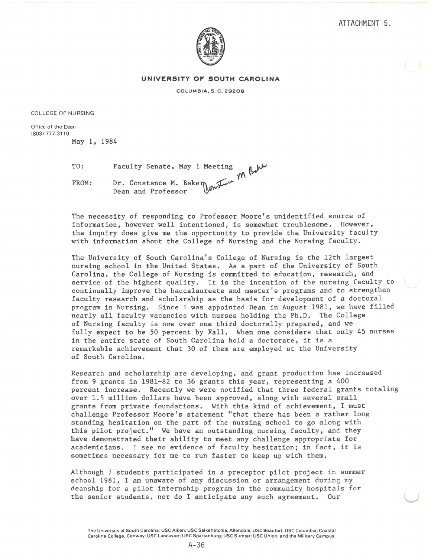

## **UNIVERSITY OF SOUTH CAROLINA**

COLUMBIA, S. C. 29208

COLLEGE OF NURSING

Office of the Dean (803) 777-3119

May 1, 1984

TO:

FROM: Faculty Senate, May 1 Meeting & **'ff\·**  Dr. Constance M. Baken  $\mathbb{Z}$ Dean and Professor  $\mathbb{W}^{\mathbb{W}^{\mathbb{X}}}$ 

The necessity of responding to Professor Moore's unidentified source of information, however well intentioned, is somewhat troublesome. However, the inquiry does give me the opportunity to provide the University faculty with information about the College of Nursing and the Nursing faculty.

The University of South Carolina's College of Nursing is the 12th largest nursing school in the United States. As a part of the University of South Carolina, the College of Nursing is committed to education, research, and service of the highest quality. It is the intention of the nursing faculty to continually improve the baccalaureate and master's programs and to strengthen faculty research and scholarship as the basis for development of a doctoral program in Nursing. Since I was appointed Dean in August 1981, we have filled nearly all faculty vacancies with nurses holding the Ph.D. The College of Nursing faculty is now over one third doctorally prepared, and we fully expect to be 50 percent by Fall. When one considers that only 45 nurses in the entire state of South Carolina hold a doctorate, it is a remarkable achievement that 30 of them are employed at the University of South Carolina.

Research and scholarship are developing, and grant production has increased from 9 grants in 1981-82 to 36 grants this year, representing a 400 percent increase. Recently we were notified that three federal grants totaling over 1.5 million dollars have been approved, along with several small grants from private foundations. With this kind of achievement, I must challenge Professor Moore's statement "that there has been a rather long standing hesitation on the part of the nursing school to go along with this pilot project." We have an outstanding nursing faculty, and they have demonstrated their ability to meet any challenge appropriate for academicians. I see no evidence of faculty hesitation; in fact, it is sometimes necessary for me to run faster to keep up with them.

Although 7 students participated in a preceptor pilot project in summer school 1981, I am unaware of any discussion or arrangement during my deanship for a pilot internship program in the community hospitals for the senior students, nor do I anticipate any such agreement. Our

The University of South Carolina: USC Aiken; USC Salkehatchie, Allendale; USC Beaufort; USC Columbia ; Coastal Carolina College, Conway; USC Lancaster; USC Spartanburg; USC Sumter; USC Union; and the Military Campus.